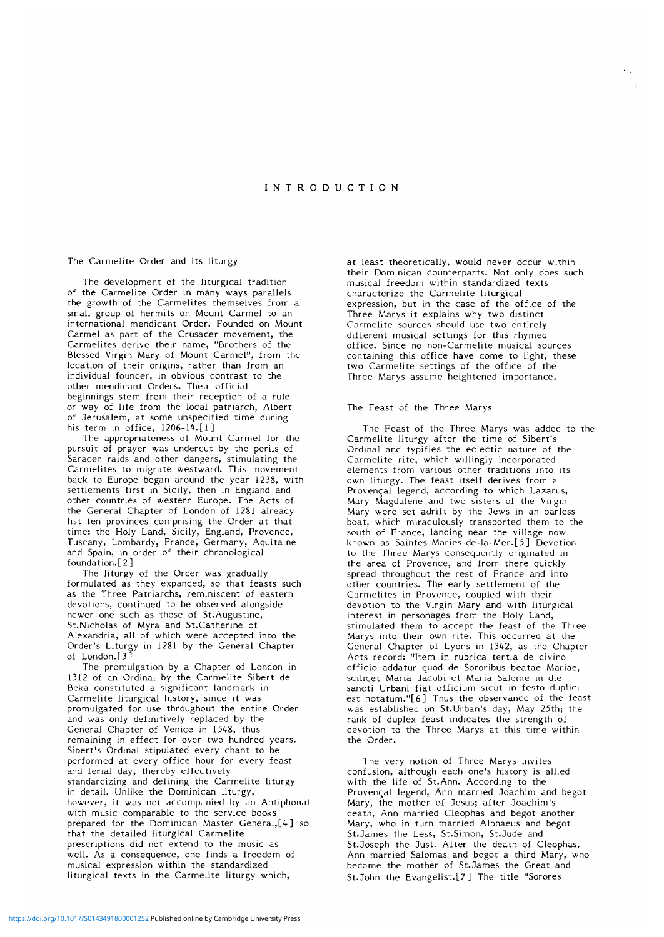## **INTRODUCTIO N**

### The Carmelite Order and its liturgy

The development of the liturgical tradition of the Carmelite Order in many ways parallels the growth of the Carmelites themselves from a small group of hermits on Mount Carmel to an international mendicant Order. Founded on Mount Carmel as part of the Crusader movement, the Carmelites derive their name, "Brothers of the Blessed Virgin Mary of Mount Carmel", from the location of their origins, rather than from an individual founder, in obvious contrast to the other mendicant Orders. Their official beginnings stem from their reception of a rule or way of life from the local patriarch, Albert of Jerusalem, at some unspecified time during his term in office, 1206-14.[1]

The appropriateness of Mount Carmel for the pursuit of prayer was undercut by the perils of Saracen raids and other dangers, stimulating the Carmelites to migrate westward. This movement back to Europe began around the year 1238, with settlements first in Sicily, then in England and other countries of western Europe. The Acts of the General Chapter of London of 1281 already list ten provinces comprising the Order at that time: the Holy Land, Sicily, England, Provence, Tuscany, Lombardy, France, Germany, Aquitaine and Spain, in order of their chronological foundation.[2 ]

The liturgy of the Order was gradually formulated as they expanded, so that feasts such as the Three Patriarchs, reminiscent of eastern devotions, continued to be observed alongside newer one such as those of St.Augustine, St.Nicholas of Myra and St.Catherine of Alexandria, all of which were accepted into the Order's Liturgy in 1281 by the General Chapter of London.[3]

The promulgation by a Chapter of London in 1312 of an Ordinal by the Carmelite Sibert de Beka constituted a significant landmark in Carmelite liturgical history, since it was promulgated for use throughout the entire Order and was only definitively replaced by the General Chapter of Venice in 1548, thus remaining in effect for over two hundred years. Sibert's Ordinal stipulated every chant to be performed at every office hour for every feast and ferial day, thereby effectively standardizing and defining the Carmelite liturgy in detail. Unlike the Dominican liturgy, however, it was not accompanied by an Antiphonal with music comparable to the service books prepared for the Dominican Master General,[4] so that the detailed liturgical Carmelite prescriptions did not extend to the music as well. As a consequence, one finds a freedom of musical expression within the standardized liturgical texts in the Carmelite liturgy which,

at least theoretically, would never occur within their Dominican counterparts. Not only does such musical freedom within standardized texts characterize the Carmelite liturgical expression, but in the case of the office of the Three Marys it explains why two distinct Carmelite sources should use two entirely different musical settings for this rhymed office. Since no non-Carmelite musical sources containing this office have come to light, these two Carmelite settings of the office of the Three Marys assume heightened importance.

## The Feast of the Three Marys

The Feast of the Three Marys was added to the Carmelite liturgy after the time of Sibert's Ordinal and typifies the eclectic nature of the Carmelite rite, which willingly incorporated elements from various other traditions into its own liturgy. The feast itself derives from a Provençal legend, according to which Lazarus, Mary Magdalene and two sisters of the Virgin Mary were set adrift by the Jews in an oarless boat, which miraculously transported them to the south of France, landing near the village now known as Saintes-Maries-de-la-Mer.[5 ] Devotion to the Three Marys consequently originated in the area of Provence, and from there quickly spread throughout the rest of France and into other countries. The early settlement of the Carmelites in Provence, coupled with their devotion to the Virgin Mary and with liturgical interest in personages from the Holy Land, stimulated them to accept the feast of the Three Marys into their own rite. This occurred at the General Chapter of Lyons in 1342, as the Chapter Acts record: "Item in rubrica tertia de divino officio addatur quod de Sororibus beatae Mariae, scilicet Maria Jacobi et Maria Salome in die sancti Urbani fiat officium sicut in festo duplici est notatum."[6] Thus the observance of the feast was established on St.Urban's day, May 25th; the was established on St. Orban's day, May 2011; rank of duplex feast indicates the strength of devotion to the Three Marys at this time within<br>the Order.

The very notion of Three Marys invites confusion, although each one's history is allied with the life of St.Ann. According to the Provençal legend, Ann married Joachim and begot Mary, the mother of Jesus; after Joachim's death, Ann married Cleophas and begot another Mary, who in turn married Alphaeus and begot St.James the Less, St.Simon, St.Jude and St.Joseph the Just. After the death of Cleophas, Ann married Salomas and begot a third Mary, who became the mother of St.James the Great and St.John the Evangelist.[7 ] The title "Sorores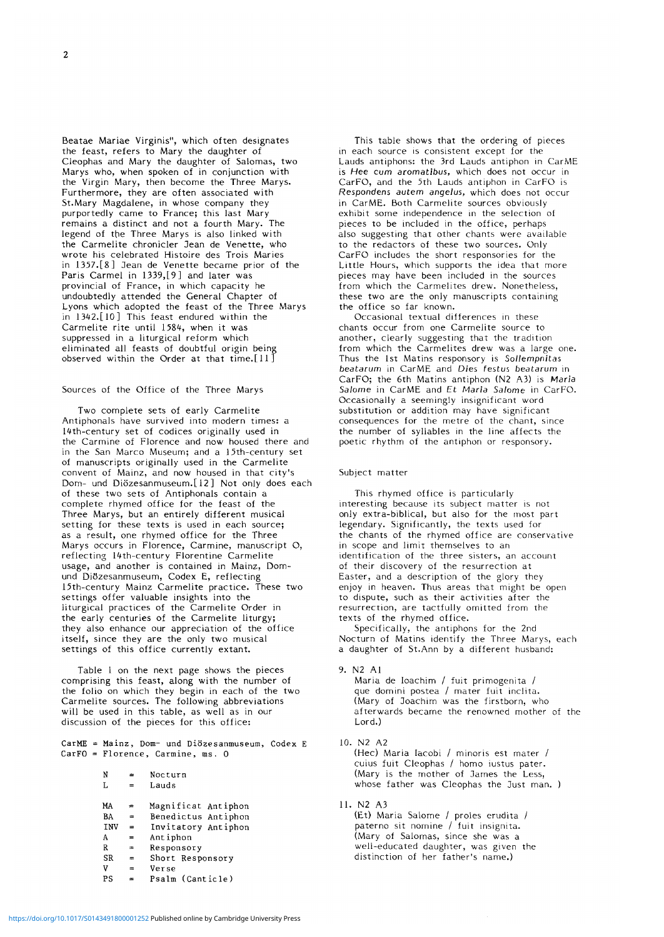Beatae Mariae Virginis", which often designates the feast, refers to Mary the daughter of Cleophas and Mary the daughter of Salomas, two Marys who, when spoken of in conjunction with the Virgin Mary, then become the Three Marys. Furthermore, they are often associated with St.Mary Magdalene, in whose company they purportedly came to France; this last Mary remains a distinct and not a fourth Mary. The legend of the Three Marys is also linked with the Carmelite chronicler Jean de Venette, who wrote his celebrated Histoire des Trois Maries in 1357.[8 ] Jean de Venette became prior of the Paris Carmel in 1339,[9] and later was provincial of France, in which capacity he undoubtedly attended the General Chapter of Lyons which adopted the feast of the Three Marys in 1342.[10] This feast endured within the Carmelite rite until 1584, when it was suppressed in a liturgical reform which eliminated all feasts of doubtful origin being observed within the Order at that time.[11]

#### Sources of the Office of the Three Marys

Two complete sets of early Carmelite Antiphonals have survived into modern times: a 14th-century set of codices originally used in the Carmine of Florence and now housed there and in the San Marco Museum; and a 15th-century set of manuscripts originally used in the Carmelite convent of Mainz, and now housed in that city's Dom- und Diözesanmuseum.[12] Not only does each of these two sets of Antiphonals contain a complete rhymed office for the feast of the Three Marys, but an entirely different musical setting for these texts is used in each source; as a result, one rhymed office for the Three Marys occurs in Florence, Carmine, manuscript O, reflecting 14th-century Florentine Carmelite usage, and another is contained in Mainz, Domund Diözesanmuseum, Codex E, reflecting 15th-century Mainz Carmelite practice. These two settings offer valuable insights into the liturgical practices of the Carmelite Order in the early centuries of the Carmelite liturgy; they also enhance our appreciation of the office itself, since they are the only two musical settings of this office currently extant.

Table 1 on the next page shows the pieces comprising this feast, along with the number of the folio on which they begin in each of the two Carmelite sources. The following abbreviations will be used in this table, as well as in our discussion of the pieces for this office:

CarME = Mainz, Dom- und Diozesanmuseum, Codex E  $CarFO = Florence, Carmine, ms. 0$ 

| N          | ⋍   | Nocturn             |
|------------|-----|---------------------|
| L          |     | Lauds               |
| МA         | 霊   | Magnificat Antiphon |
| BA         | $=$ | Benedictus Antiphon |
| <b>INV</b> | =   | Invitatory Antiphon |
| А          | =   | Antiphon            |
| R          | ÷   | Responsory          |
| SR         | =   | Short Responsory    |
| v          | =   | Verse               |
| PS         |     | Psalm (Canticle)    |
|            |     |                     |

This table shows that the ordering of pieces in each source is consistent except for the Lauds antiphons: the 3rd Lauds antiphon in CarME is Hee cum *acomatibus,* which does not occur in CarFO, and the 5th Lauds antiphon in CarFO is *Respondens autem angelus,* which does not occur in CarME. Both Carmelite sources obviously exhibit some independence in the selection of pieces to be included in the office, perhaps also suggesting that other chants were available to the redactors of these two sources. Only CarFO includes the short responsories for the Little Hours, which supports the idea that more pieces may have been included in the sources from which the Carmelites drew. Nonetheless, these two are the only manuscripts containing the office so far known.

Occasional textual differences in these chants occur from one Carmelite source to another, clearly suggesting that the tradition from which the Carmelites drew was a large one. Thus the 1st Matins responsory is *Sollempnitas beatarum* in CarME and *Dies festus beatarum* in CarFO; the 6th Matins antiphon (N2 A3) is Maria *Salome* in CarME and £t *Maria Salome* in CarFO. Occasionally a seemingly insignificant word substitution or addition may have significant consequences for the metre of the chant, since the number of syllables in the line affects the poetic rhythm of the antiphon or responsory.

## Subject matter

This rhymed office is particularly interesting because its subject matter is not only extra-biblical, but also for the most part legendary. Significantly, the texts used for the chants of the rhymed office are conservative in scope and limit themselves to an identification of the three sisters, an account of their discovery of the resurrection at Easter, and a description of the glory they enjoy in heaven. Thus areas that might be open to dispute, such as their activities after the resurrection, are tactfully omitted from the texts of the rhymed office.

Specifically, the antiphons for the 2nd Nocturn of Matins identify the Three Marys, each a daughter of St.Ann by a different husband:

9. N2 Al

Maria de Ioachim / fuit primogenita / que domini postea / mater fuit inclita. (Mary of Joachim was the firstborn, who afterwards became the renowned mother of the Lord.)

10. N2 A2

(Hec) Maria Iacobi / minoris est mater / cuius fuit Cleophas / homo iustus pater. (Mary is the mother of James the Less, whose father was Cleophas the Just man. )

11. N2 A3

(Et) Maria Salome / proles erudita / paterno sit nomine / fuit insignita. (Mary of Salomas, since she was a well-educated daughter, was given the distinction of her father's name.)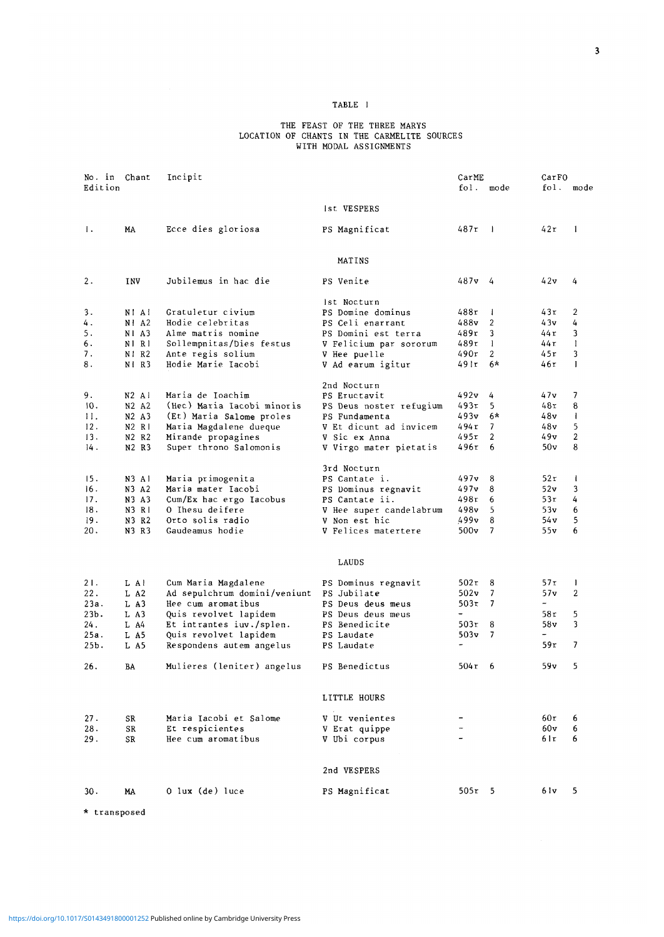# TABLE I

#### THE FEAST OF THE THREE MARYS LOCATION OF CHANTS IN THE CARMELITE SOURCES WITH MODAL ASSIGNMENTS

| No. in Chant   | Incipit    |                              |                         | CarME    |                |                          | CarFO          |  |  |
|----------------|------------|------------------------------|-------------------------|----------|----------------|--------------------------|----------------|--|--|
| Edition        |            |                              |                         | fol.     | mode           | fol.                     | mode           |  |  |
|                |            |                              | Ist VESPERS             |          |                |                          |                |  |  |
| $\mathbf{l}$ . | МA         | Ecce dies gloriosa           | PS Magnificat           | 487r     | $\blacksquare$ | 42 r                     | 1              |  |  |
|                |            |                              | MATINS                  |          |                |                          |                |  |  |
| 2.             | <b>INV</b> | Jubilemus in hac die         | PS Venite               | 487v 4   |                | 42v                      | 4              |  |  |
|                |            |                              | Ist Nocturn             |          |                |                          |                |  |  |
| 3.             | NI AI      | Gratuletur civium            | PS Domine dominus       | 488r     | $\mathbf{I}$   | 43r                      | 2              |  |  |
| 4.             | $N!$ A2    | Hodie celebritas             | PS Celi enarrant        | 488v     | 2              | 43v                      | 4              |  |  |
| 5.             | NI A3      | Alme matris nomine           | PS Domini est terra     | 489r     | 3              | 44 r                     | 3              |  |  |
| 6.             | NI RI      | Sollempnitas/Dies festus     | V Felicium par sororum  | 489r     | $\mathbf{I}$   | 44 r                     | 1              |  |  |
| 7.             | NI R2      | Ante regis solium            | V Hee puelle            | 490r     | 2              | 45r                      | 3              |  |  |
| 8.             | NI R3      | Hodie Marie Iacobi           | V Ad earum igitur       | 49 I r   | 6*             | 46r                      | $\mathbf{I}$   |  |  |
|                |            |                              | 2nd Nocturn             |          |                |                          |                |  |  |
| 9.             | $N2$ Al    | Maria de Ioachim             | PS Eructavit            | 492v     | 4              | 47v                      | 7              |  |  |
| 10.            | N2 A2      | (Hec) Maria Iacobi minoris   | PS Deus noster refugium | 493r     | 5              | 48r                      | 8              |  |  |
| 11.            | N2 A3      | (Et) Maria Salome proles     | PS Fundamenta           | 493v     | $6*$           | 48v                      | $\mathbf{I}$   |  |  |
| 12.            | N2 R1      | Maria Magdalene dueque       | V Et dicunt ad invicem  | 494 r    | 7              | 48v                      | 5              |  |  |
| 13.            | N2 R2      | Mirande propagines           | V Sic ex Anna           | 495r     | 2              | 49v                      | $\overline{2}$ |  |  |
| 14.            | N2 R3      | Super throno Salomonis       | V Virgo mater pietatis  | 496r     | 6              | 50v                      | 8              |  |  |
|                |            |                              | 3rd Nocturn             |          |                |                          |                |  |  |
| 15.            | N3 Al      | Maria primogenita            | PS Cantate i.           | 497v     | 8              | 52 r                     | $\mathbf{l}$   |  |  |
| 16.            | N3 A2      | Maria mater Iacobi           | PS Dominus regnavit     | 497v     | 8              | 52v                      | 3              |  |  |
| 17.            | N3 A3      | Cum/Ex hac ergo Iacobus      | PS Cantate ii.          | 498r     | 6              | 53r                      | 4              |  |  |
| 18.            | N3 R1      | O Ihesu deifere              | V Hee super candelabrum | 498v     | 5              | 53v                      | 6              |  |  |
| 19.            | N3 R2      | Orto solis radio             | V Non est hic           | 499v     | 8              | 54 v                     | 5              |  |  |
| 20.            | N3 R3      | Gaudeamus hodie              | V Felices matertere     | 500v     | 7              | 55v                      | 6              |  |  |
|                |            |                              | LAUDS                   |          |                |                          |                |  |  |
| 21.            | L Al       | Cum Maria Magdalene          | PS Dominus regnavit     | 502r     | 8              | 57r                      | $\mathbf{I}$   |  |  |
| 22.            | L A2       | Ad sepulchrum domini/veniunt | PS Jubilate             | 502v     | 7              | 57v                      | 2              |  |  |
| 23а.           | L A3       | Hee cum aromatibus           | PS Deus deus meus       | 503τ     | 7              | $\overline{\phantom{a}}$ |                |  |  |
| 23Ъ.           | L A3       | Quis revolvet lapidem        | PS Deus deus meus       | -        |                | 58 r                     | 5              |  |  |
| 24.            | L A4       | Et intrantes iuv./splen.     | PS Benedicite           | 503r     | 8              | 58 v                     | 3              |  |  |
| 25a.           | L A5       | Quis revolvet lapidem        | PS Laudate              | 503v     | 7              |                          |                |  |  |
| 25b.           | L A5       | Respondens autem angelus     | PS Laudate              | ÷        |                | 59r                      | 7              |  |  |
| 26.            | BA         | Mulieres (leniter) angelus   | PS Benedictus           | 504τ     | 6              | 59v                      | 5              |  |  |
|                |            |                              | LITTLE HOURS            |          |                |                          |                |  |  |
| 27.            | SR         | Maria Iacobi et Salome       | V Ut venientes          |          |                | 60r                      | 6              |  |  |
| 28.            | SR         | Et respicientes              | V Erat quippe           |          |                | 60v                      | 6              |  |  |
| 29.            | SR         | Hee cum aromatibus           | V Ubi corpus            |          |                | 61r                      | 6              |  |  |
|                |            |                              | 2nd VESPERS             |          |                |                          |                |  |  |
| 30.            | MA         | $0$ lux (de) luce            | PS Magnificat           | $505r$ 5 |                | 6 I v                    | 5              |  |  |
|                |            |                              |                         |          |                |                          |                |  |  |

\* transposed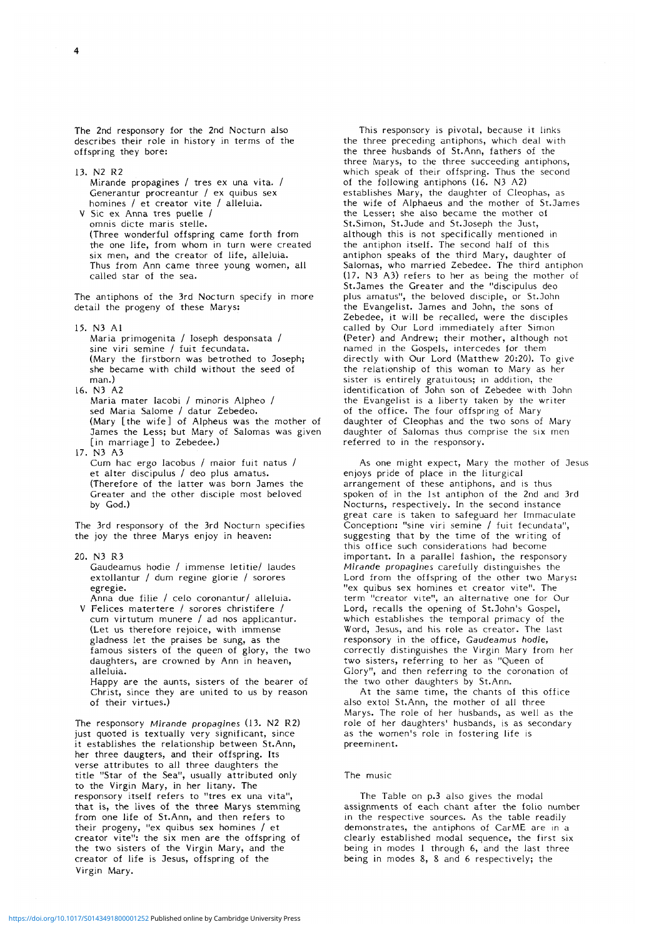The 2nd responsory for the 2nd Nocturn also describes their role in history in terms of the offspring they bore:

13. N2 R2 Mirande propagines / tres ex una vita. / Generantur procreantur / ex quibus sex homines / et creator vite / alleluia. V Sic ex Anna tres puelle /

omnis dicte maris stelle. (Three wonderful offspring came forth from the one life, from whom in turn were created six men, and the creator of life, alleluia. Thus from Ann came three young women, all called star of the sea.

The antiphons of the 3rd Nocturn specify in more detail the progeny of these Marys:

15. N3 Al

- Maria primogenita / Ioseph desponsata / sine viri semine / fuit fecundata. (Mary the firstborn was betrothed to Joseph; she became with child without the seed of man.)
- 16. N3 A2 Maria mater lacobi / minoris Alpheo / sed Maria Salome / datur Zebedeo. (Mary [the wife] of Alpheus was the mother of James the Less; but Mary of Salomas was given [in marriage] to Zebedee.)
- 17. N3 A3 Cum hac ergo Iacobus / maior fuit natus / et alter discipulus / deo plus amatus. (Therefore of the latter was born James the Greater and the other disciple most beloved by God.)

The 3rd responsory of the 3rd Nocturn specifies the joy the three Marys enjoy in heaven:

20. N3 R3 Gaudeamus hodie / immense letitie/ laudes extollantur / dum regine glorie / sorores egregie.

Anna due filie / celo coronantur/ alleluia.

V Felices matertere / sorores christifere / cum virtutum munere / ad nos applicantur. (Let us therefore rejoice, with immense gladness let the praises be sung, as the famous sisters of the queen of glory, the two daughters, are crowned by Ann in heaven, alleluia.

Happy are the aunts, sisters of the bearer of Christ, since they are united to us by reason of their virtues.)

The responsory *Mirande propagines* (13. N2 R2) just quoted is textually very significant, since it establishes the relationship between St.Ann, her three daugters, and their offspring. Its verse attributes to all three daughters the title "Star of the Sea", usually attributed only to the Virgin Mary, in her litany. The responsory itself refers to "tres ex una vita", that is, the lives of the three Marys stemming from one life of St.Ann, and then refers to their progeny, "ex quibus sex homines / et creator vite": the six men are the offspring of the two sisters of the Virgin Mary, and the creator of life is Jesus, offspring of the Virgin Mary.

This responsory is pivotal, because it links the three preceding antiphons, which deal with the three husbands of St.Ann, fathers of the three Marys, to the three succeeding antiphons, which speak of their offspring. Thus the second of the following antiphons (16. N3 A2) establishes Mary, the daughter of Cleophas, as the wife of Alphaeus and the mother of St.James the Lesser; she also became the mother of St.Simon, St.Jude and St.Joseph the Just, although this is not specifically mentioned in the antiphon itself. The second half of this antiphon speaks of the third Mary, daughter of Salomas, who married Zebedee. The third antiphon (17. N3 A3) refers to her as being the mother of St.James the Greater and the "discipulus deo plus amatus", the beloved disciple, or St.John the Evangelist. James and John, the sons of Zebedee, it will be recalled, were the disciples called by Our Lord immediately after Simon (Peter) and Andrew; their mother, although not named in the Gospels, intercedes for them directly with Our Lord (Matthew 20:20). To give the relationship of this woman to Mary as her sister is entirely gratuitous; in addition, the sister is entirely gratuitous; in doutlion, the the Evangelist is a liberty taken by the writer the Evangelist is a liberty taken by the of the office. The four offspring of Mary daughter of Cleophas and the two sons of Mary daughter of Salomas thus comprise the six men<br>referred to in the responsory.

As one might expect, Mary the mother of Jesus enjoys pride of place in the liturgical arrangement of these antiphons, and is thus spoken of in the 1st antiphon of the 2nd and 3rd Nocturns, respectively. In the second instance great care is taken to safeguard her Immaculate Conception: "sine viri semine / fuit fecundata", suggesting that by the time of the writing of this office such considerations had become important. In a parallel fashion, the responsory *Mirande propagines* carefully distinguishes the Lord from the offspring of the other two Marys: "ex quibus sex homines et creator vite". The term "creator vite", an alternative one for Our Lord, recalls the opening of St.John's Gospel, which establishes the temporal primacy of the Word, Jesus, and his role as creator. The last responsory in the office, *Gaudeamus hodie,* correctly distinguishes the Virgin Mary from her two sisters, referring to her as "Queen of Glory", and then referring to the coronation of the two other daughters by St.Ann.

At the same time, the chants of this office also extol St.Ann, the mother of all three Marys. The role of her husbands, as well as the role of her daughters' husbands, is as secondary as the women's role in fostering life is preeminent.

## The music

The Table on p.3 also gives the modal assignments of each chant after the folio number in the respective sources. As the table readily demonstrates, the antiphons of CarME are in a clearly established modal sequence, the first six being in modes 1 through 6, and the last three being in modes 8, 8 and 6 respectively; the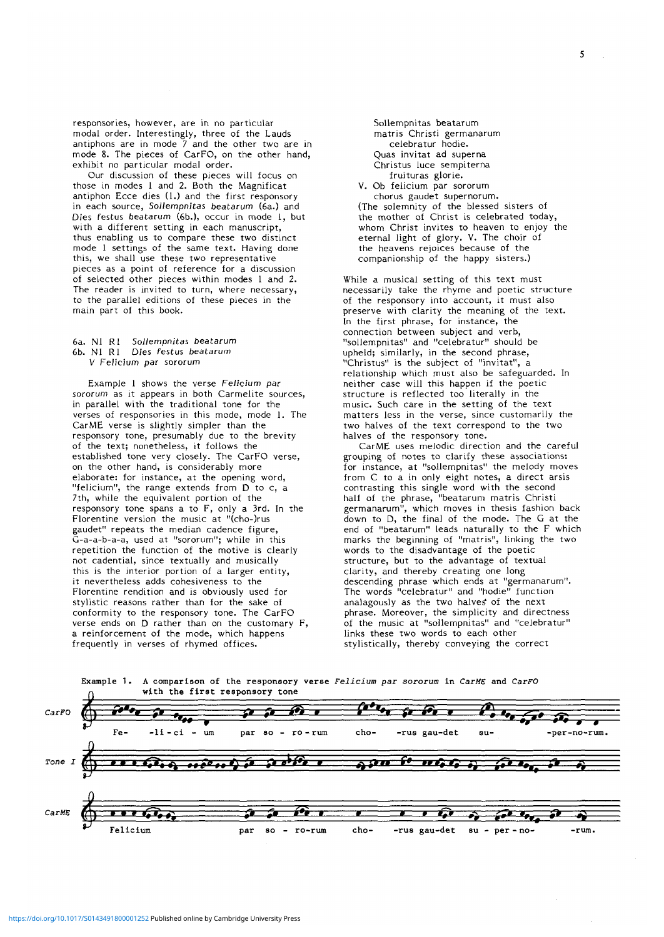responsories, however, are in no particular modal order. Interestingly, three of the Lauds antiphons are in mode 7 and the other two are in mode 8. The pieces of CarFO, on the other hand, exhibit no particular modal order.

Our discussion of these pieces will focus on those in modes 1 and 2. Both the Magnificat antiphon Ecce dies (1.) and the first responsory in each source, *Sollempnitas beatarum* (6a.) and *Dies festus* beatarum (6b.), occur in mode 1, but thus enabling us to compare these two distinct mode 1 settings of the same text. Having done this, we shall use these two representative pieces as a point of reference for a discussion of selected other pieces within modes 1 and 2. The reader is invited to turn, where necessary, to the parallel editions of these pieces in the main part of this book.

## 6a. Nl Rl *Sollempnitas* beatarum 6b. Nl Rl Dies *festus beatarum V Felicium par* sororum

Example 1 shows the verse *Felicium par sororum* as it appears in both Carmelite sources, in parallel with the traditional tone for the verses of responsories in this mode, mode 1. The CarME verse is slightly simpler than the responsory tone, presumably due to the brevity of the text; nonetheless, it follows the established tone very closely. The CarFO verse, on the other hand, is considerably more elaborate: for instance, at the opening word, "felicium", the range extends from D to c, a 7th, while the equivalent portion of the responsory tone spans a to F, only a 3rd. In the Florentine version the music at "(cho-)rus gaudet" repeats the median cadence figure, G-a-a-b-a-a, used at "sororum"; while in this repetition the function of the motive is clearly not cadential, since textually and musically this is the interior portion of a larger entity, it nevertheless adds cohesiveness to the Florentine rendition and is obviously used for stylistic reasons rather than for the sake of stylistic reasons rather than for the sake of conformity to the responsory tone. The CarFO verse ends on D rather than on the customary F, a reinforcement of the mode, which happens frequently in verses of rhymed offices.

Sollempnitas beatarum matris Christi germanarum Quas invitat ad superna Christus luce sempiterna V. Ob felicium par sororum<br>chorus gaudet supernorum.

(The solemnity of the blessed sisters of<br>the mother of Christ is celebrated today, whom Christ invites to heaven to enjoy the eternal light of glory. V. The choir of the heavens rejoices because of the companionship of the happy sisters.)

While a musical setting of this text must necessarily take the rhyme and poetic structure of the responsory into account, it must also preserve with clarity the meaning of the text.<br>In the first phrase, for instance, the<br>connection between subject and verb, connection between subject and verb, "sollempnitas" and "celebratur" should be upheld; similarly, in the second phrase, "Christus" is the subject of "invitat", a relationship which must also be safeguarded. In neither case will this happen if the poetic structure is reflected too literally in the music. Such care in the setting of the text matters less in the verse, since customarily the two halves of the text correspond to the two halves of the responsory tone.

CarME uses melodic direction and the careful grouping of notes to clarify these associations: for instance, at "sollempnitas" the melody moves from C to a in only eight notes, a direct arsis contrasting this single word with the second half of the phrase, "beatarum matris Christi germanarum", which moves in thesis fashion back down to D, the final of the mode. The G at the end of "beatarum" leads naturally to the F which marks the beginning of "matris", linking the two words to the disadvantage of the poetic structure, but to the advantage of textual clarity, and thereby creating one long descending phrase which ends at "germanarum". The words "celebratur" and "hodie" function analagously as the two halves' of the next phrase. Moreover, the simplicity and directness of the music at "sollempnitas" and "celebratur" links these two words to each other stylistically, thereby conveying the correct



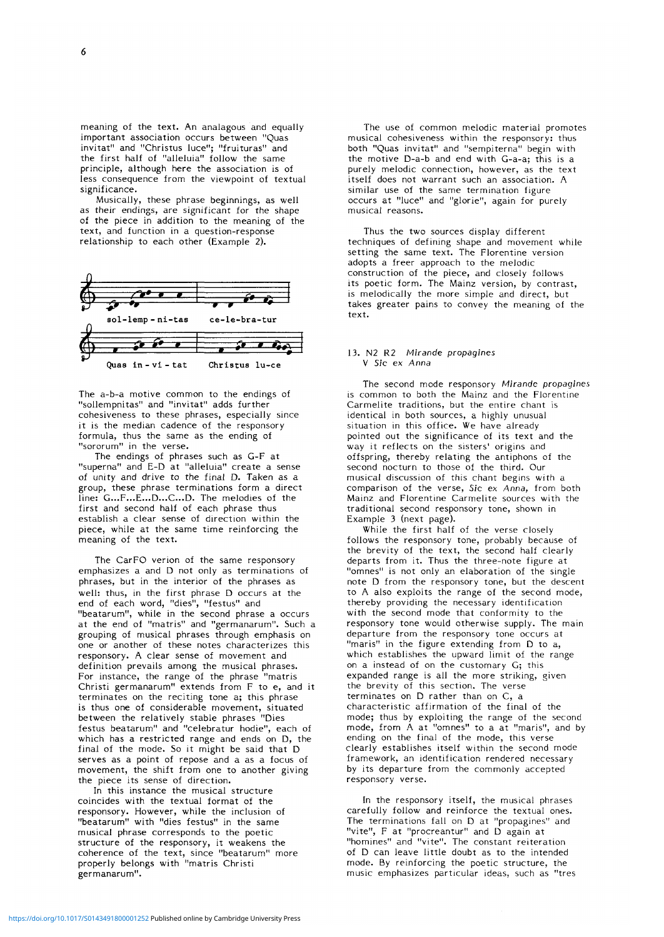meaning of the text. An analagous and equally important association occurs between "Quas invitat" and "Christus luce"; "fruituras" and the first half of "alleluia" follow the same principle, although here the association is of less consequence from the viewpoint of textual significance.

Musically, these phrase beginnings, as well as their endings, are significant for the shape of the piece in addition to the meaning of the text, and function in a question-response relationship to each other (Example 2).



The a-b-a motive common to the endings of "sollempnitas" and "invitat" adds further cohesiveness to these phrases, especially since it is the median cadence of the responsory formula, thus the same as the ending of "sororum" in the verse.

The endings of phrases such as G-F at "superna" and E-D at "alleluia" create a sense of unity and drive to the final D. Taken as a group, these phrase terminations form a direct line:  $G_{\cdots}F_{\cdots}E_{\cdots}D_{\cdots}C_{\cdots}D_{\cdots}$  The melodies of the first and second half of each phrase thus establish a clear sense of direction within the piece, while at the same time reinforcing the meaning of the text.

The CarFO verion of the same responsory emphasizes a and D not only as terminations of phrases, but in the interior of the phrases as well: thus, in the first phrase D occurs at the end of each word, "dies", "festus" and "beatarum", while in the second phrase a occurs at the end of "matris" and "germanarum". Such a grouping of musical phrases through emphasis on one or another of these notes characterizes this responsory. A clear sense of movement and definition prevails among the musical phrases. For instance, the range of the phrase "matris Christi germanarum" extends from F to e, and it terminates on the reciting tone a; this phrase is thus one of considerable movement, situated between the relatively stable phrases "Dies festus beatarum" and "celebratur hodie", each of which has a restricted range and ends on D, the final of the mode. So it might be said that D serves as a point of repose and a as a focus of movement, the shift from one to another giving the piece its sense of direction.

In this instance the musical structure coincides with the textual format of the responsory. However, while the inclusion of "beatarum" with "dies festus" in the same musical phrase corresponds to the poetic structure of the responsory, it weakens the coherence of the text, since "beatarum" more properly belongs with "matris Christi germanarum".

The use of common melodic material promotes musical cohesiveness within the responsory: thus both "Quas invitat" and "sempiterna" begin with the motive D-a-b and end with G-a-a; this is a purely melodic connection, however, as the text itself does not warrant such an association. A similar use of the same termination figure occurs at "luce" and "glorie", again for purely musical reasons.

Thus the two sources display different techniques of defining shape and movement while setting the same text. The Florentine version adopts a freer approach to the melodic construction of the piece, and closely follows its poetic form. The Mainz version, by contrast, is melodically the more simple and direct, but takes greater pains to convey the meaning of the text.

### 13. N2 R2 Mirande propagines V Sic ex Anna

The second mode responsory *Mirande propagines* is common to both the Mainz and the Florentine Carmelite traditions, but the entire chant is identical in both sources, a highly unusual situation in this office. We have already pointed out the significance of its text and the way it reflects on the sisters' origins and offspring, thereby relating the antiphons of the second nocturn to those of the third. Our musical discussion of this chant begins with a comparison of the verse, *Sic ex Anna,* from both Mainz and Florentine Carmelite sources with the traditional second responsory tone, shown in Example 3 (next page).

While the first half of the verse closely follows the responsory tone, probably because of the brevity of the text, the second half clearly departs from it. Thus the three-note figure at "omnes" is not only an elaboration of the single note D from the responsory tone, but the descent to A also exploits the range of the second mode, thereby providing the necessary identification with the second mode that conformity to the responsory tone would otherwise supply. The main departure from the responsory tone occurs at "maris" in the figure extending from D to a, which establishes the upward limit of the range on a instead of on the customary G; this expanded range is all the more striking, given the brevity of this section. The verse terminates on D rather than on C, a characteristic affirmation of the final of the mode; thus by exploiting the range of the second mode, from A at "omnes" to a at "maris", and by ending on the final of the mode, this verse ending on the final of the mode, this verse framework, an identification rendered necessary framework, an identification rendered necessary by its departure from the commonly accepted responsory verse.

In the responsory itself, the musical phrases carefully follow and reinforce the textual ones. The terminations fall on D at "propagines" and "vite", F at "procreantur" and D again at "homines" and "vite". The constant reiteration of D can leave little doubt as to the intended mode. By reinforcing the poetic structure, the music emphasizes particular ideas, such as "tres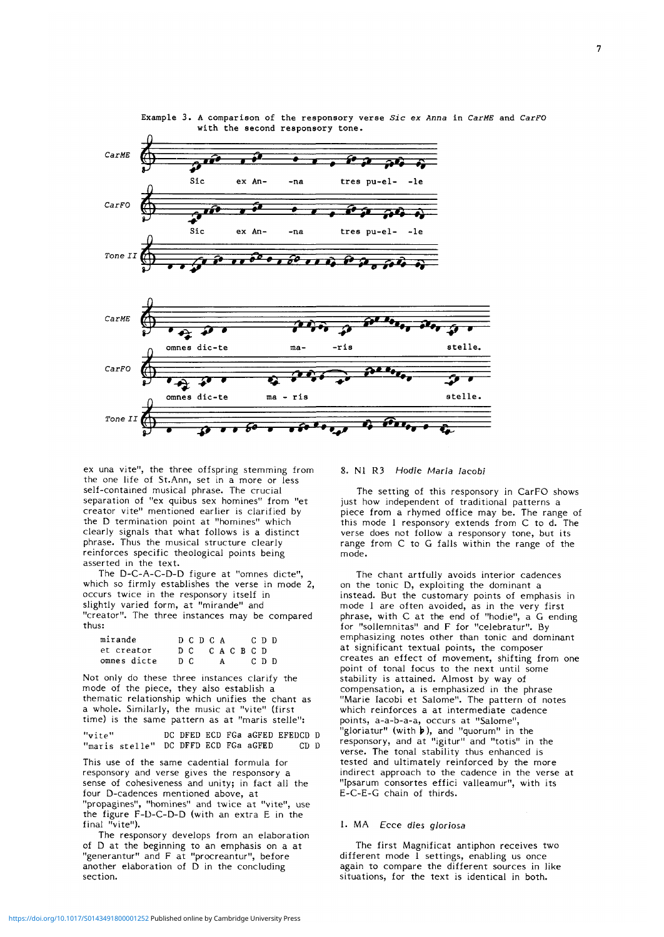

Example 3. A comparison of the responsory verse *Sic ex Anna* in *CarME* and *CarFO* with the second responsory tone.

ex una vite", the three offspring stemming from the one life of St.Ann, set in a more or less self-contained musical phrase. The crucial separation of "ex quibus sex homines" from "et creator vite" mentioned earlier is clarified by the D termination point at "homines" which clearly signals that what follows is a distinct phrase. Thus the musical structure clearly reinforces specific theological points being asserted in the text.

The D-C-A-C-D-D figure at "omnes dicte", which so firmly establishes the verse in mode 2, occurs twice in the responsory itself in slightly varied form, at "mirande" and "creator". The three instances may be compared thus:

| mirande     |     | DCDCA     |     |  | CDD.  |  |
|-------------|-----|-----------|-----|--|-------|--|
| et creator  |     | DC CACBCD |     |  |       |  |
| omnes dicte | n c |           | A a |  | c n n |  |

Not only do these three instances clarify the mode of the piece, they also establish a thematic relationship which unifies the chant as a whole. Similarly, the music at "vite" (first time) is the same pattern as at "maris stelle":

"vite" "maris stelle" DC DFFD ECD FGa aGFED CD D DC DFED ECD FGa aGFED EFEDCD D

This use of the same cadential formula for responsory and verse gives the responsory a sense of cohesiveness and unity; in fact all the four D-cadences mentioned above, at "propagines", "homines" and twice at "vite", use the figure F-D-C-D-D (with an extra E in the final "vite").

The responsory develops from an elaboration of D at the beginning to an emphasis on a at "generantur" and F at "procreantur", before another elaboration of D in the concluding section.

## 8. Nl R3 Hodie *Maria Iacobi*

The setting of this responsory in CarFO shows just how independent of traditional patterns a piece from a rhymed office may be. The range of this mode 1 responsory extends from C to d. The verse does not follow a responsory tone, but its range from C to G falls within the range of the mode.

The chant artfully avoids interior cadences on the tonic D, exploiting the dominant a instead. But the customary points of emphasis in mode 1 are often avoided, as in the very first phrase, with C at the end of "hodie", a G ending for "sollemnitas" and F for "celebratur". By emphasizing notes other than tonic and dominant at significant textual points, the composer creates an effect of movement, shifting from one point of tonal focus to the next until some stability is attained. Almost by way of compensation, a is emphasized in the phrase "Marie Iacobi et Salome". The pattern of notes which reinforces a at intermediate cadence points, a-a-b-a-a, occurs at "Salome", points, a a b a a, occurs at saiding, responsory, and at "igitur" and "totis" in the verse. The tonal stability thus enhanced is tested and ultimately reinforced by the more indirect approach to the cadence in the verse at "Ipsarum consortes effici valleamur", with its E-C-E-G chain of thirds.

## 1. MA Ecce *dies gloriosa*

The first Magnificat antiphon receives two different mode 1 settings, enabling us once again to compare the different sources in like situations, for the text is identical in both.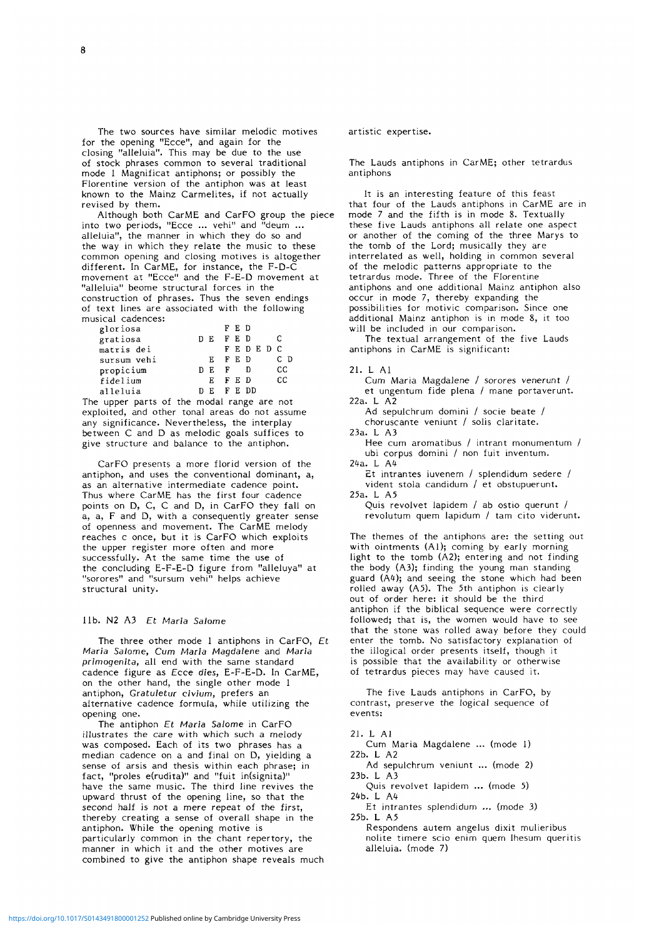The two sources have similar melodic motives for the opening "Ecce", and again for the closing "alleluia". This may be due to the use of stock phrases common to several traditional mode 1 Magnificat antiphons; or possibly the Florentine version of the antiphon was at least known to the Mainz Carmelites, if not actually revised by them.

Although both CarME and CarFO group the piece into two periods, "Ecce ... vehi" and "deum ... alleluia", the manner in which they do so and the way in which they relate the music to these common opening and closing motives is altogether different. In CarME, for instance, the F-D-C movement at "Ecce" and the F-E-D movement at "alleluia" beome structural forces in the construction of phrases. Thus the seven endings of text lines are associated with the following musical cadences:

| gloriosa    |     | FED   |               |     |
|-------------|-----|-------|---------------|-----|
| gratiosa    | DE. | FED   |               | C   |
| matris dei  |     |       | <b>FEDEDC</b> |     |
| sursum vehi | E.  | F E D |               | C D |
| propicium   | E.  | F     | Ð             | CС  |
| fidelium    | E.  | FED   |               | СC  |
| alleluia    | E   | FEDD  |               |     |

The upper parts of the modal range are not exploited, and other tonal areas do not assume any significance. Nevertheless, the interplay between C and D as melodic goals suffices to give structure and balance to the antiphon.

CarFO presents a more florid version of the antiphon, and uses the conventional dominant, a, as an alternative intermediate cadence point. Thus where CarME has the first four cadence points on D, C, C and D, in CarFO they fall on a, a, F and D, with a consequently greater sense of openness and movement. The CarME melody reaches c once, but it is CarFO which exploits the upper register more often and more successfully. At the same time the use of the concluding E-F-E-D figure from "alleluya" at "sorores" and "sursum vehi" helps achieve structural unity.

# lib. N2 A3 *Et Maria Salome*

The three other mode 1 antiphons in CarFO, Et *Maria Salome, Cum Maria Magdalene* and *Maria primogenita,* all end with the same standard cadence figure as Ecce *dies,* E-F-E-D. In CarME, on the other hand, the single other mode 1 antiphon, *Gratuletur civium,* prefers an alternative cadence formula, while utilizing the opening one.

The antiphon *Et Maria Salome* in CarFO illustrates the care with which such a melody was composed. Each of its two phrases has a median cadence on a and final on D, yielding a sense of arsis and thesis within each phrase; in fact, "proles e(rudita)" and "fuit in(signita)" have the same music. The third line revives the upward thrust of the opening line, so that the second half is not a mere repeat of the first, thereby creating a sense of overall shape in the antiphon. While the opening motive is particularly common in the chant repertory, the manner in which it and the other motives are combined to give the antiphon shape reveals much artistic expertise.

The Lauds antiphons in CarME; other tetrardus antiphons

It is an interesting feature of this feast that four of the Lauds antiphons in CarME are in mode 7 and the fifth is in mode 8. Textually these five Lauds antiphons all relate one aspect or another of the coming of the three Marys to the tomb of the Lord; musically they are interrelated as well, holding in common several of the melodic patterns appropriate to the tetrardus mode. Three of the Florentine antiphons and one additional Mainz antiphon also occur in mode 7, thereby expanding the possibilities for motivic comparison. Since one additional Mainz antiphon is in mode 8, it too will be included in our comparison.

The textual arrangement of the five Lauds antiphons in CarME is significant:

#### 21. L Al

Cum Maria Magdalene / sorores venerunt / et ungentum fide plena / mane portaverunt. 22a. L A2

Ad sepulchrum domini / socie beate / choruscante veniunt / solis claritate.

23a. L A3 Hee cum aromatibus / intrant monumentum /

ubi corpus domini / non fuit inventum. 24a. L *M*

Et intrantes iuvenem / splendidum sedere / vident stola candidum / et obstupuerunt. 25a. L A5

Quis revolvet lapidem / ab ostio querunt / revolutum quem lapidum / tam cito viderunt.

The themes of the antiphons are: the setting out with ointments (A1); coming by early morning light to the tomb (A2); entering and not finding the body (A3); finding the young man standing guard (A4); and seeing the stone which had been rolled away (A5). The 5th antiphon is clearly out of order here: it should be the third antiphon if the biblical sequence were correctly followed; that is, the women would have to see that the stone was rolled away before they could enter the tomb. No satisfactory explanation of the illogical order presents itself, though it is possible that the availability or otherwise of tetrardus pieces may have caused it.

The five Lauds antiphons in CarFO, by contrast, preserve the logical sequence of events:

21. L Al

Cum Maria Magdalene ... (mode 1) 22b. L A2

Ad sepulchrum veniunt ... (mode 2) 23b. L A3

Quis revolvet lapidem ... (mode 5) 24b. L A4

Et intrantes splendidum ... (mode 3) 25b. L A5

Respondens autem angelus dixit mulieribus nolite timere scio enim quern Ihesum queritis alleluia, (mode 7)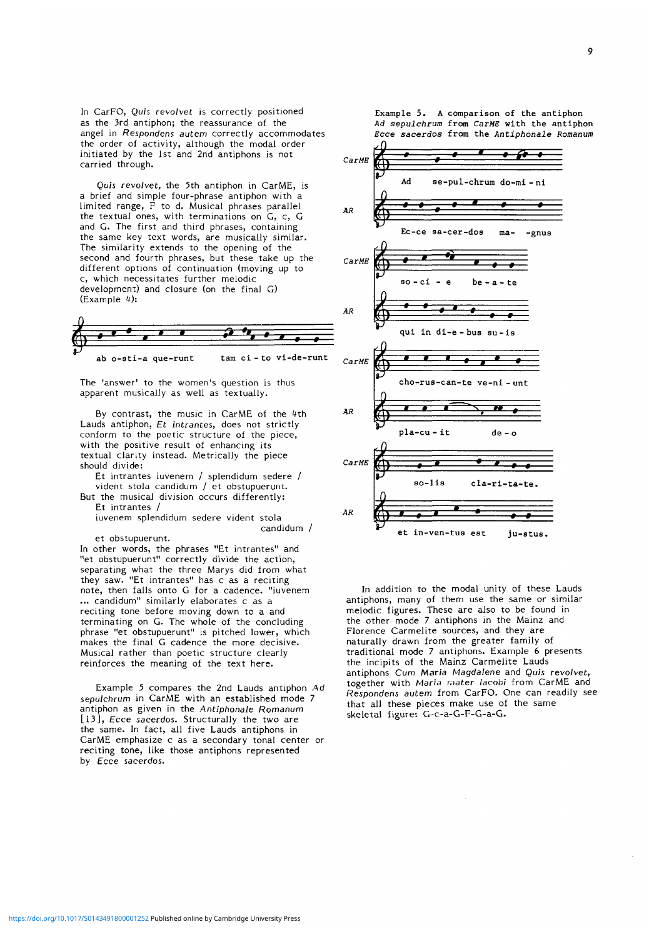In CarFO, Quis *revolvet* is correctly positioned as the 3rd antiphon; the reassurance of the angel in *Respondens autem* correctly accommodates the order of activity, although the modal order initiated by the 1st and 2nd antiphons is not carried through.

Quis revolvet, the 5th antiphon in CarME, is a brief and simple four-phrase antiphon with a limited range, F to d. Musical phrases parallel the textual ones, with terminations on G, c, G and G. The first and third phrases, containing the same key text words, are musically similar. The similarity extends to the opening of the second and fourth phrases, but these take up the different options of continuation (moving up to c, which necessitates further melodic development) and closure (on the final G) (Example 4):



ab o-sti-a que-runt tam ci - to vi-de-runt

The 'answer' to the women's question is thus apparent musically as well as textually.

By contrast, the music in CarME of the 4th Lauds antiphon, *Et intrantes,* does not strictly conform to the poetic structure of the piece, with the positive result of enhancing its textual clarity instead. Metrically the piece should divide:

Et intrantes iuvenem / splendidum sedere / vident stola candidum / et obstupuerunt.

But the musical division occurs differently: Et intrantes /

iuvenem splendidum sedere vident stola candidum /

et obstupuerunt.

In other words, the phrases "Et intrantes" and "et obstupuerunt" correctly divide the action, separating what the three Marys did from what they saw. "Et intrantes" has c as a reciting note, then falls onto G for a cadence, "iuvenem ... candidum" similarly elaborates c as a reciting tone before moving down to a and terminating on G. The whole of the concluding phrase "et obstupuerunt" is pitched lower, which makes the final G cadence the more decisive. Musical rather than poetic structure clearly reinforces the meaning of the text here.

Example 5 compares the 2nd Lauds antiphon Ad *sepulchrum* in CarME with an established mode 7 antiphon as given in the *Antiphonale Romanum* [13], Ecce sacerdos. Structurally the two are the same. In fact, all five Lauds antiphons in CarME emphasize c as a secondary tonal center or reciting tone, like those antiphons represented by Ecce sacerdos.

Example 5. A comparison of the antiphon Ad sepulchrum from CarME with the antiphon Ecce sacerdos from the Antiphonale Romanum



In addition to the modal unity of these Lauds antiphons, many of them use the same or similar melodic figures. These are also to be found in the other mode 7 antiphons in the Mainz and Florence Carmelite sources, and they are naturally drawn from the greater family of traditional mode 7 antiphons. Example 6 presents the incipits of the Mainz Carmelite Lauds antiphons *Cum Maria Magdalene* and *Quis revoivet,* together with *Maria mater Iacobi* from CarME and *Respondens autem* from CarFO. One can readily see that all these pieces make use of the same skeletal figure: G-c-a-G-F-G-a-G.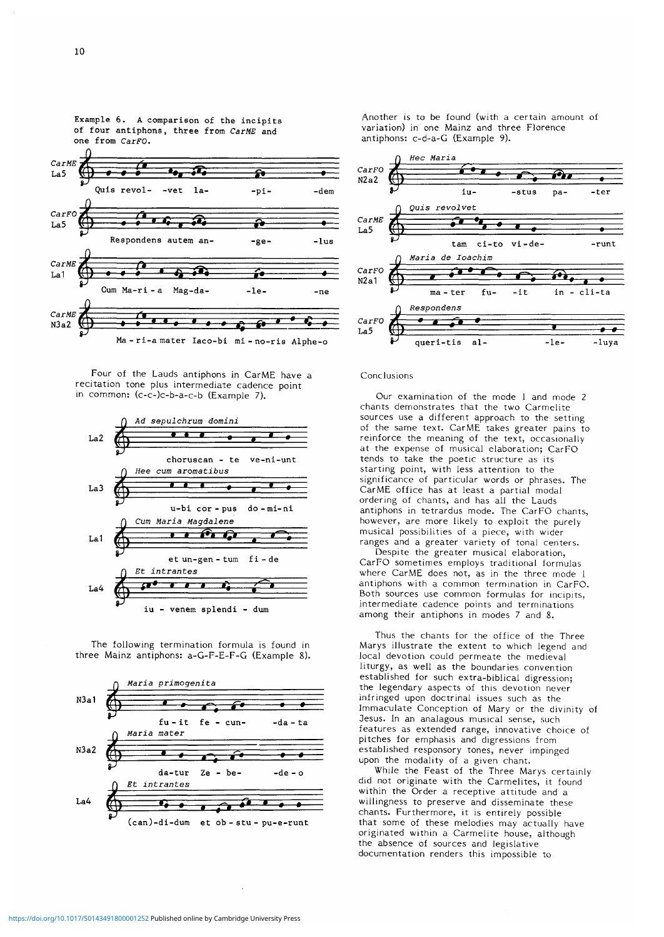

Four of the Lauds antiphons in CarME have a recitation tone plus intermediate cadence point in common: (c-c-)c-b-a-c-b (Example 7).



The following termination formula is found in three Mainz antiphons: a-G-F-E-F-G (Example 8).



Another is to be found (with a certain amount of variation) in one Mainz and three Florence antiphons: c-d-a-G (Example 9).



## Conclusions

Our examination of the mode 1 and mode 2 chants demonstrates that the two Carmelite sources use a different approach to the setting of the same text. CarME takes greater pains to reinforce the meaning of the text, occasionally at the expense of musical elaboration; CarFO tends to take the poetic structure as its starting point, with less attention to the significance of particular words or phrases. The CarME office has at least a partial modal ordering of chants, and has all the Lauds antiphons in tetrardus mode. The CarFO chants, however, are more likely to exploit the purely musical possibilities of a piece, with wider ranges and a greater variety of tonal centers.

Despite the greater musical elaboration, CarFO sometimes employs traditional formulas where CarME does not, as in the three mode 1 antiphons with a common termination in CarFO. Both sources use common formulas for incipits, intermediate cadence points and terminations among their antiphons in modes 7 and 8.

Thus the chants for the office of the Three Marys illustrate the extent to which legend and local devotion could permeate the medieval liturgy, as well as the boundaries convention established for such extra-biblical digression; the legendary aspects of this devotion never infringed upon doctrinal issues such as the Immaculate Conception of Mary or the divinity of Jesus. In an analagous musical sense, such features as extended range, innovative choice of pitches for emphasis and digressions from established responsory tones, never impinged upon the modality of a given chant.

While the Feast of the Three Marys certainly did not originate with the Carmelites, it found within the Order a receptive attitude and a willingness to preserve and disseminate these chants. Furthermore, it is entirely possible that some of these melodies may actually have originated within a Carmelite house, although the absence of sources and legislative documentation renders this impossible to